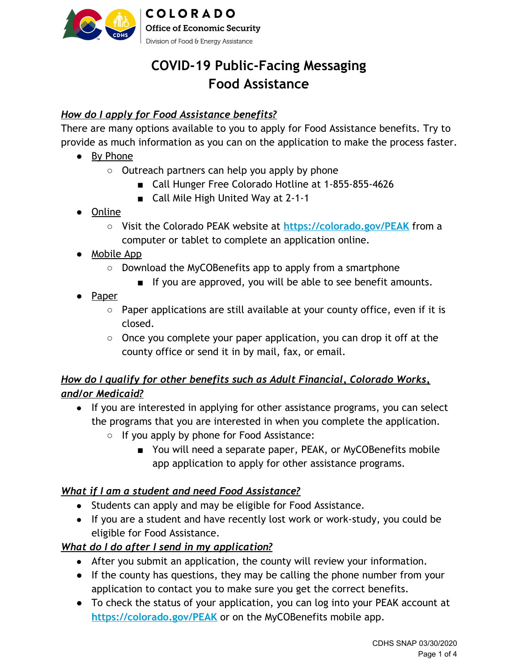

# **COVID-19 Public-Facing Messaging Food Assistance**

# *How do I apply for Food Assistance benefits?*

There are many options available to you to apply for Food Assistance benefits. Try to provide as much information as you can on the application to make the process faster.

- By Phone
	- Outreach partners can help you apply by phone
		- Call Hunger Free Colorado Hotline at 1-855-855-4626
		- Call Mile High United Way at 2-1-1
- Online
	- Visit the Colorado PEAK website at **[https://colorado.gov/PEAK](https://coloradopeak.secure.force.com/)** from a computer or tablet to complete an application online.
- Mobile App
	- Download the MyCOBenefits app to apply from a smartphone
		- If you are approved, you will be able to see benefit amounts.
- Paper
	- Paper applications are still available at your county office, even if it is closed.
	- $\circ$  Once you complete your paper application, you can drop it off at the county office or send it in by mail, fax, or email.

# *How do I qualify for other benefits such as Adult Financial, Colorado Works, and/or Medicaid?*

- **●** If you are interested in applying for other assistance programs, you can select the programs that you are interested in when you complete the application.
	- If you apply by phone for Food Assistance:
		- You will need a separate paper, PEAK, or MyCOBenefits mobile app application to apply for other assistance programs.

# *What if I am a student and need Food Assistance?*

- Students can apply and may be eligible for Food Assistance.
- If you are a student and have recently lost work or work-study, you could be eligible for Food Assistance.

# *What do I do after I send in my application?*

- After you submit an application, the county will review your information.
- If the county has questions, they may be calling the phone number from your application to contact you to make sure you get the correct benefits.
- To check the status of your application, you can log into your PEAK account at **[https://colorado.gov/PEAK](https://coloradopeak.secure.force.com/)** or on the MyCOBenefits mobile app.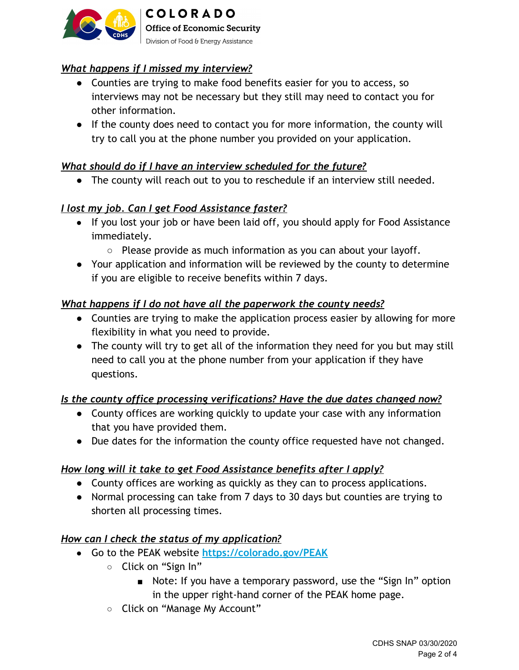

# *What happens if I missed my interview?*

- *●* Counties are trying to make food benefits easier for you to access, so interviews may not be necessary but they still may need to contact you for other information.
- *●* If the county does need to contact you for more information, the county will try to call you at the phone number you provided on your application.

### *What should do if I have an interview scheduled for the future?*

*●* The county will reach out to you to reschedule if an interview still needed.

### *I lost my job. Can I get Food Assistance faster?*

- If you lost your job or have been laid off, you should apply for Food Assistance immediately.
	- Please provide as much information as you can about your layoff.
- Your application and information will be reviewed by the county to determine if you are eligible to receive benefits within 7 days.

### *What happens if I do not have all the paperwork the county needs?*

- Counties are trying to make the application process easier by allowing for more flexibility in what you need to provide.
- The county will try to get all of the information they need for you but may still need to call you at the phone number from your application if they have questions.

### *Is the county office processing verifications? Have the due dates changed now?*

- County offices are working quickly to update your case with any information that you have provided them.
- Due dates for the information the county office requested have not changed.

### *How long will it take to get Food Assistance benefits after I apply?*

- County offices are working as quickly as they can to process applications.
- Normal processing can take from 7 days to 30 days but counties are trying to shorten all processing times.

### *How can I check the status of my application?*

- **●** Go to the PEAK website **[https://colorado.gov/PEAK](https://coloradopeak.secure.force.com/)**
	- **○** Click on "Sign In"
		- Note: If you have a temporary password, use the "Sign In" option in the upper right-hand corner of the PEAK home page.
	- **○** Click on "Manage My Account"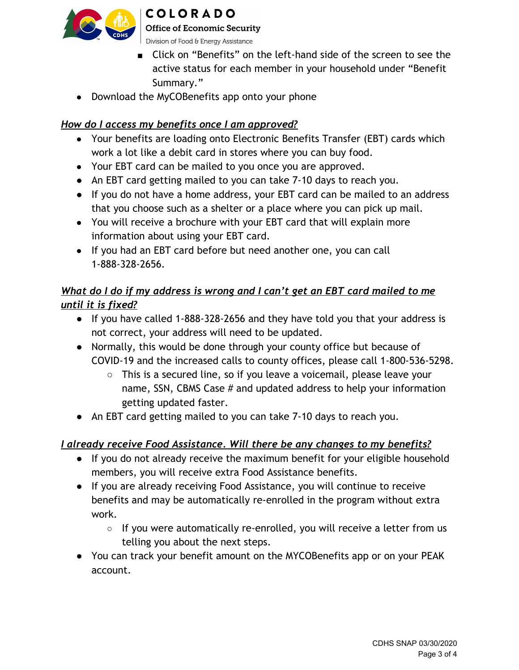

# **COLORADO**

**Office of Economic Security** 

Division of Food & Energy Assistance

- **■** Click on "Benefits" on the left-hand side of the screen to see the active status for each member in your household under "Benefit Summary."
- Download the MyCOBenefits app onto your phone

# *How do I access my benefits once I am approved?*

- Your benefits are loading onto Electronic Benefits Transfer (EBT) cards which work a lot like a debit card in stores where you can buy food.
- Your EBT card can be mailed to you once you are approved.
- An EBT card getting mailed to you can take 7-10 days to reach you.
- If you do not have a home address, your EBT card can be mailed to an address that you choose such as a shelter or a place where you can pick up mail.
- You will receive a brochure with your EBT card that will explain more information about using your EBT card.
- If you had an EBT card before but need another one, you can call 1-888-328-2656.

# *What do I do if my address is wrong and I can't get an EBT card mailed to me until it is fixed?*

- If you have called 1-888-328-2656 and they have told you that your address is not correct, your address will need to be updated.
- Normally, this would be done through your county office but because of COVID-19 and the increased calls to county offices, please call 1-800-536-5298.
	- This is a secured line, so if you leave a voicemail, please leave your name, SSN, CBMS Case # and updated address to help your information getting updated faster.
- **●** An EBT card getting mailed to you can take 7-10 days to reach you.

# *I already receive Food Assistance. Will there be any changes to my benefits?*

- If you do not already receive the maximum benefit for your eligible household members, you will receive extra Food Assistance benefits.
- If you are already receiving Food Assistance, you will continue to receive benefits and may be automatically re-enrolled in the program without extra work.
	- If you were automatically re-enrolled, you will receive a letter from us telling you about the next steps.
- You can track your benefit amount on the MYCOBenefits app or on your PEAK account.